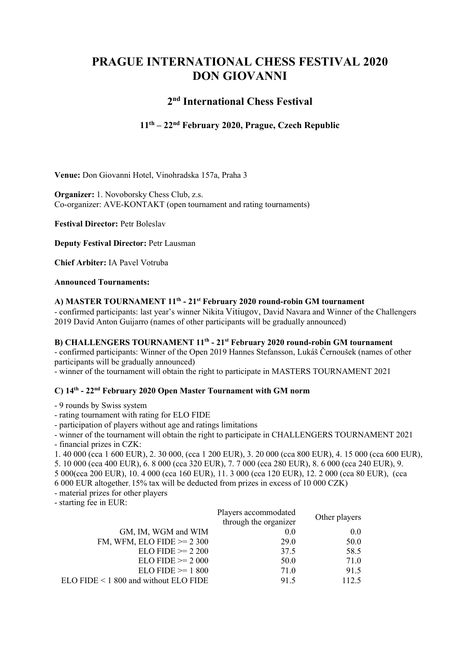# PRAGUE INTERNATIONAL CHESS FESTIVAL 2020 DON GIOVANNI

## 2<sup>nd</sup> International Chess Festival

## 11th – 22nd February 2020, Prague, Czech Republic

Venue: Don Giovanni Hotel, Vinohradska 157a, Praha 3

Organizer: 1. Novoborsky Chess Club, z.s. Co-organizer: AVE-KONTAKT (open tournament and rating tournaments)

Festival Director: Petr Boleslav

Deputy Festival Director: Petr Lausman

Chief Arbiter: IA Pavel Votruba

#### Announced Tournaments:

#### A) MASTER TOURNAMENT 11<sup>th</sup> - 21<sup>st</sup> February 2020 round-robin GM tournament

- confirmed participants: last year's winner Nikita Vitiugov, David Navara and Winner of the Challengers 2019 David Anton Guijarro (names of other participants will be gradually announced)

#### B) CHALLENGERS TOURNAMENT 11<sup>th</sup> - 21<sup>st</sup> February 2020 round-robin GM tournament

- confirmed participants: Winner of the Open 2019 Hannes Stefansson, Lukáš Černoušek (names of other participants will be gradually announced)

- winner of the tournament will obtain the right to participate in MASTERS TOURNAMENT 2021

### C) 14th - 22nd February 2020 Open Master Tournament with GM norm

- 9 rounds by Swiss system
- rating tournament with rating for ELO FIDE
- participation of players without age and ratings limitations

- winner of the tournament will obtain the right to participate in CHALLENGERS TOURNAMENT 2021 - financial prizes in CZK:

1. 40 000 (cca 1 600 EUR), 2. 30 000, (cca 1 200 EUR), 3. 20 000 (cca 800 EUR), 4. 15 000 (cca 600 EUR),

5. 10 000 (cca 400 EUR), 6. 8 000 (cca 320 EUR), 7. 7 000 (cca 280 EUR), 8. 6 000 (cca 240 EUR), 9.

5 000(cca 200 EUR), 10. 4 000 (cca 160 EUR), 11. 3 000 (cca 120 EUR), 12. 2 000 (cca 80 EUR), (cca

6 000 EUR altogether, 15% tax will be deducted from prizes in excess of 10 000 CZK)

- material prizes for other players

- starting fee in EUR:

|                                       | Players accommodated<br>through the organizer | Other players |
|---------------------------------------|-----------------------------------------------|---------------|
| GM, IM, WGM and WIM                   | 0.0                                           | 0.0           |
| FM, WFM, ELO FIDE $\ge$ 2 300         | 29.0                                          | 50.0          |
| $ELO FIDE \ge 2200$                   | 37.5                                          | 58.5          |
| $ELO FIDE \ge 2000$                   | 50.0                                          | 71.0          |
| $ELO FIDE \ge 1800$                   | 71.0                                          | 91.5          |
| ELO FIDE < 1 800 and without ELO FIDE | 91.5                                          | 112.5         |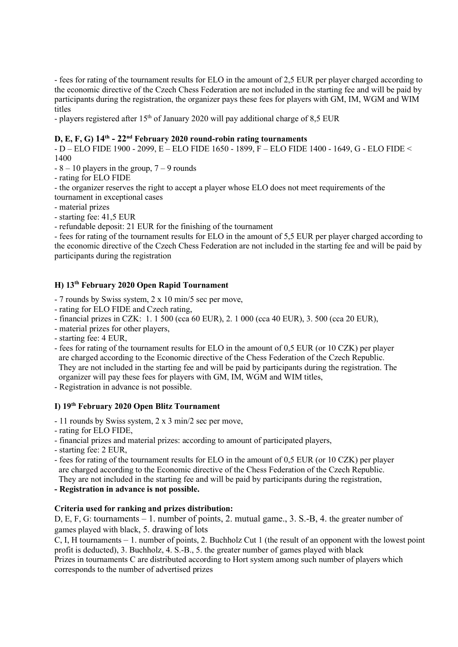- fees for rating of the tournament results for ELO in the amount of 2,5 EUR per player charged according to the economic directive of the Czech Chess Federation are not included in the starting fee and will be paid by participants during the registration, the organizer pays these fees for players with GM, IM, WGM and WIM titles

- players registered after  $15<sup>th</sup>$  of January 2020 will pay additional charge of 8,5 EUR

#### D, E, F, G)  $14<sup>th</sup>$  -  $22<sup>nd</sup>$  February 2020 round-robin rating tournaments

- D – ELO FIDE 1900 - 2099, E – ELO FIDE 1650 - 1899, F – ELO FIDE 1400 - 1649, G - ELO FIDE < 1400

- $-8 10$  players in the group,  $7 9$  rounds
- rating for ELO FIDE

- the organizer reserves the right to accept a player whose ELO does not meet requirements of the

- tournament in exceptional cases
- material prizes
- starting fee: 41,5 EUR
- refundable deposit: 21 EUR for the finishing of the tournament

- fees for rating of the tournament results for ELO in the amount of 5,5 EUR per player charged according to the economic directive of the Czech Chess Federation are not included in the starting fee and will be paid by participants during the registration

## H) 13th February 2020 Open Rapid Tournament

- 7 rounds by Swiss system, 2 x 10 min/5 sec per move,

- rating for ELO FIDE and Czech rating,
- financial prizes in CZK: 1. 1 500 (cca 60 EUR), 2. 1 000 (cca 40 EUR), 3. 500 (cca 20 EUR),
- material prizes for other players,
- starting fee: 4 EUR,
- fees for rating of the tournament results for ELO in the amount of 0,5 EUR (or 10 CZK) per player are charged according to the Economic directive of the Chess Federation of the Czech Republic. They are not included in the starting fee and will be paid by participants during the registration. The organizer will pay these fees for players with GM, IM, WGM and WIM titles,
- Registration in advance is not possible.

### I) 19th February 2020 Open Blitz Tournament

- 11 rounds by Swiss system, 2 x 3 min/2 sec per move,
- rating for ELO FIDE,
- financial prizes and material prizes: according to amount of participated players,
- starting fee: 2 EUR,
- fees for rating of the tournament results for ELO in the amount of 0,5 EUR (or 10 CZK) per player are charged according to the Economic directive of the Chess Federation of the Czech Republic. They are not included in the starting fee and will be paid by participants during the registration,
- Registration in advance is not possible.

#### Criteria used for ranking and prizes distribution:

D, E, F, G: tournaments – 1. number of points, 2. mutual game., 3. S.-B, 4. the greater number of games played with black, 5. drawing of lots

C, I, H tournaments – 1. number of points, 2. Buchholz Cut 1 (the result of an opponent with the lowest point profit is deducted), 3. Buchholz, 4. S.-B., 5. the greater number of games played with black

Prizes in tournaments C are distributed according to Hort system among such number of players which corresponds to the number of advertised prizes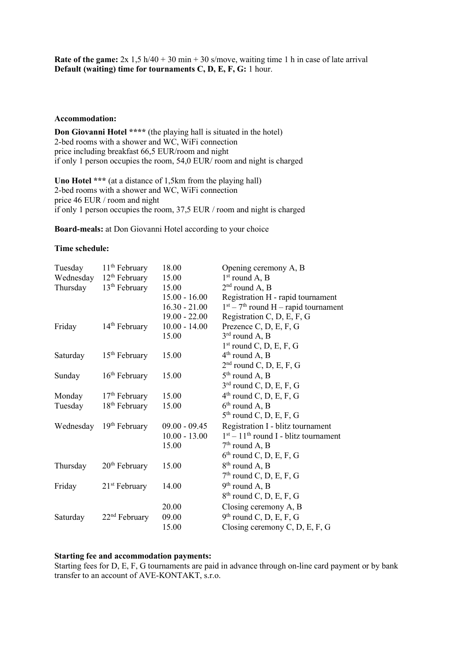Rate of the game:  $2x \frac{1}{5} h/40 + 30 m in + 30 s/move$ , waiting time 1 h in case of late arrival Default (waiting) time for tournaments C, D, E, F, G: 1 hour.

#### Accommodation:

Don Giovanni Hotel \*\*\*\* (the playing hall is situated in the hotel) 2-bed rooms with a shower and WC, WiFi connection price including breakfast 66,5 EUR/room and night if only 1 person occupies the room, 54,0 EUR/ room and night is charged

Uno Hotel \*\*\* (at a distance of 1,5km from the playing hall) 2-bed rooms with a shower and WC, WiFi connection price 46 EUR / room and night if only 1 person occupies the room, 37,5 EUR / room and night is charged

Board-meals: at Don Giovanni Hotel according to your choice

#### Time schedule:

| Tuesday   | $11th$ February           | 18.00           | Opening ceremony A, B                   |
|-----------|---------------------------|-----------------|-----------------------------------------|
| Wednesday | 12 <sup>th</sup> February | 15.00           | $1st$ round A, B                        |
| Thursday  | $13th$ February           | 15.00           | $2nd$ round A, B                        |
|           |                           | $15.00 - 16.00$ | Registration H - rapid tournament       |
|           |                           | $16.30 - 21.00$ | $1st - 7th$ round H – rapid tournament  |
|           |                           | $19.00 - 22.00$ | Registration C, D, E, F, G              |
| Friday    | $14th$ February           | $10.00 - 14.00$ | Prezence C, D, E, F, G                  |
|           |                           | 15.00           | $3rd$ round A, B                        |
|           |                           |                 | $1st$ round C, D, E, F, G               |
| Saturday  | $15th$ February           | 15.00           | $4th$ round A, B                        |
|           |                           |                 | $2nd$ round C, D, E, F, G               |
| Sunday    | $16th$ February           | 15.00           | $5th$ round A, B                        |
|           |                           |                 | $3rd$ round C, D, E, F, G               |
| Monday    | $17th$ February           | 15.00           | $4th$ round C, D, E, F, G               |
| Tuesday   | $18th$ February           | 15.00           | $6th$ round A, B                        |
|           |                           |                 | $5th$ round C, D, E, F, G               |
| Wednesday | $19th$ February           | $09.00 - 09.45$ | Registration I - blitz tournament       |
|           |                           | $10.00 - 13.00$ | $1st - 11th$ round I - blitz tournament |
|           |                           | 15.00           | $7th$ round A, B                        |
|           |                           |                 | $6th$ round C, D, E, F, G               |
| Thursday  | 20 <sup>th</sup> February | 15.00           | $8th$ round A, B                        |
|           |                           |                 | $7th$ round C, D, E, F, G               |
| Friday    | $21st$ February           | 14.00           | $9th$ round A, B                        |
|           |                           |                 | $8th$ round C, D, E, F, G               |
|           |                           | 20.00           | Closing ceremony A, B                   |
| Saturday  | $22nd$ February           | 09.00           | $9th$ round C, D, E, F, G               |
|           |                           | 15.00           | Closing ceremony C, D, E, F, G          |

#### Starting fee and accommodation payments:

Starting fees for D, E, F, G tournaments are paid in advance through on-line card payment or by bank transfer to an account of AVE-KONTAKT, s.r.o.